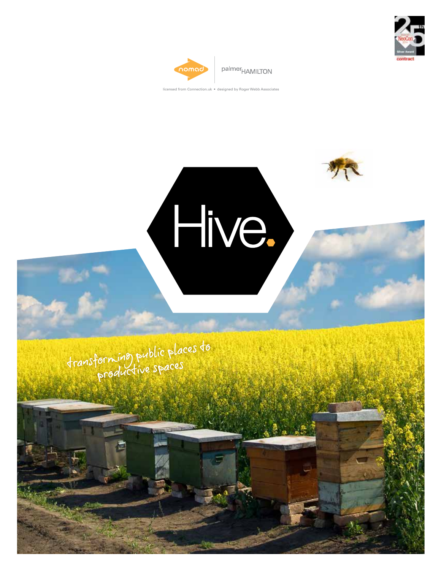



palmer<sub>HAMILTON</sub>

Ifrom Connection.uk • designed by Roger Webb Associates

(Hive.)

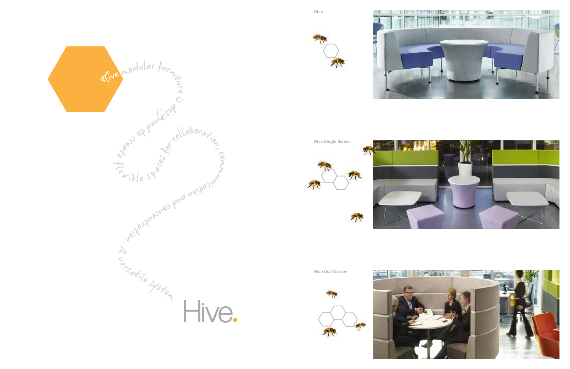Hive









Hive Dual Screen



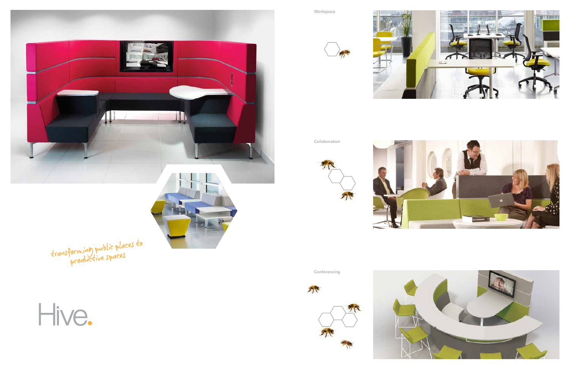

transforming public places to









Collaboration





Conferencing



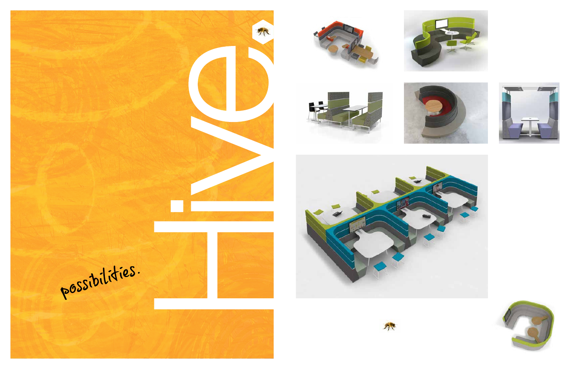



 $\mathcal{F}_{\mathcal{F}}$ 













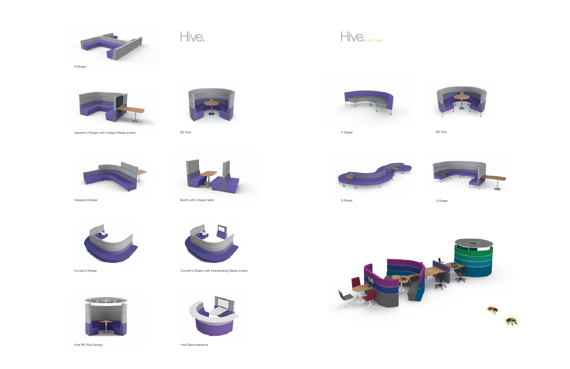





Curved U-Shape Curved U-Shape with freestanding Media screen



Hive 90° Pod Canopy extends the state of the Hive Teleconference









Stepped L-Shape



## Hive.



Booth with integral table





C-Shape 90° Pod



Squared U-Shape with integral Media screen 90° Pod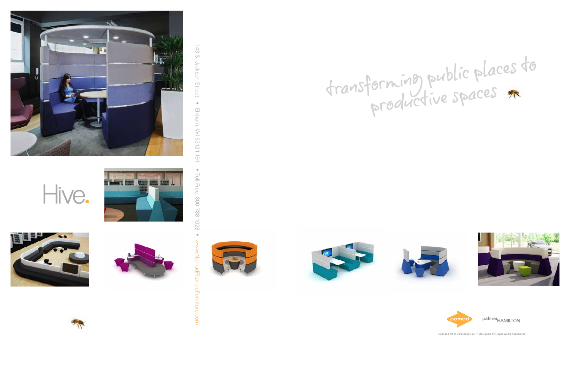







143 S. Jackson Street 143 S. Jackson Street • Elkhorn, WI 53121-1911 • Toll Free: 800-788-1028 •  $\bullet$ Elkhorn, WI 53121-1911  $\bullet$ Toll Free: 800-788-1028 www.NomadFlexibleFurniture.comxibleFurniture.com





## transforming public places to







palmer<sub>HAMILTON</sub>

licensed from Connection.uk . designed by Roger Webb Associates